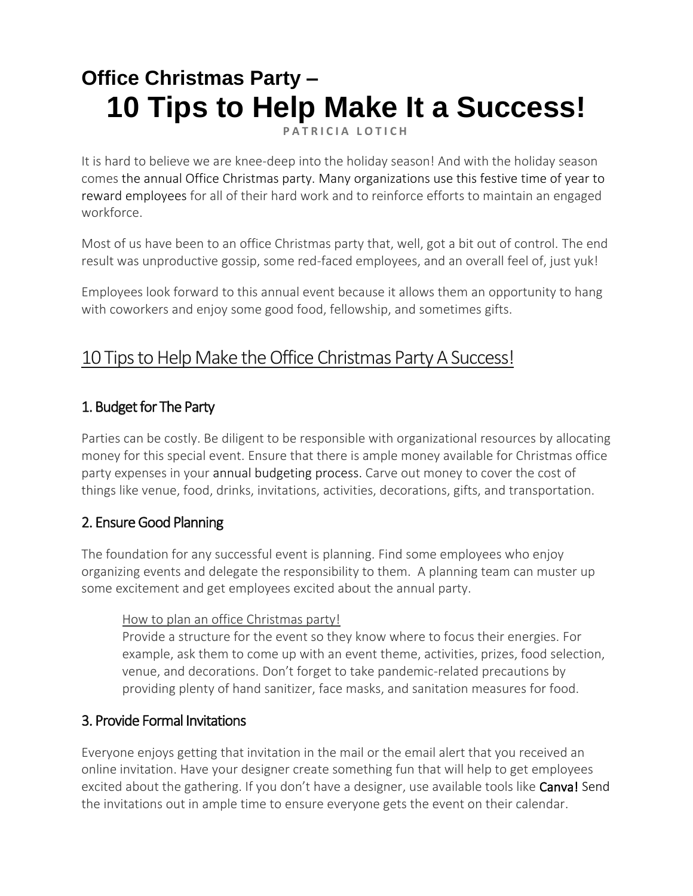# **Office Christmas Party – 10 Tips to Help Make It a Success!**

**PATRICIA LOTICH** 

It is hard to believe we are knee-deep into the holiday season! And with the holiday season comes the annual Office Christmas party. Many organizations use this festive time of year to [reward employees](https://thethrivingsmallbusiness.com/17-things-managers-can-do-to-show-employee-appreciation/) for all of their hard work and to reinforce efforts to maintain an engaged workforce.

Most of us have been to an office Christmas party that, well, got a bit out of control. The end result was unproductive gossip, some red-faced employees, and an overall feel of, just yuk!

Employees look forward to this annual event because it allows them an opportunity to hang with coworkers and enjoy some good food, fellowship, and sometimes gifts.

# 10 Tips to Help Make the Office Christmas Party A Success!

# 1. Budget for The Party

Parties can be costly. Be diligent to be responsible with organizational resources by allocating money for this special event. Ensure that there is ample money available for Christmas office party expenses in your [annual budgeting process.](https://thethrivingsmallbusiness.com/developing-and-managing-a-budget/) Carve out money to cover the cost of things like venue, food, drinks, invitations, activities, decorations, gifts, and transportation.

# 2. Ensure Good Planning

The foundation for any successful event is planning. Find some employees who enjoy organizing events and delegate the responsibility to them. A planning team can muster up some excitement and get employees excited about the annual party.

#### How to plan an office Christmas party!

Provide a structure for the event so they know where to focus their energies. For example, ask them to come up with an event theme, activities, prizes, food selection, venue, and decorations. Don't forget to take pandemic-related precautions by providing plenty of hand sanitizer, face masks, and sanitation measures for food.

### 3. Provide Formal Invitations

Everyone enjoys getting that invitation in the mail or the email alert that you received an online invitation. Have your designer create something fun that will help to get employees excited about the gathering. If you don't have a designer, use available tools like **Canva!** Send the invitations out in ample time to ensure everyone gets the event on their calendar.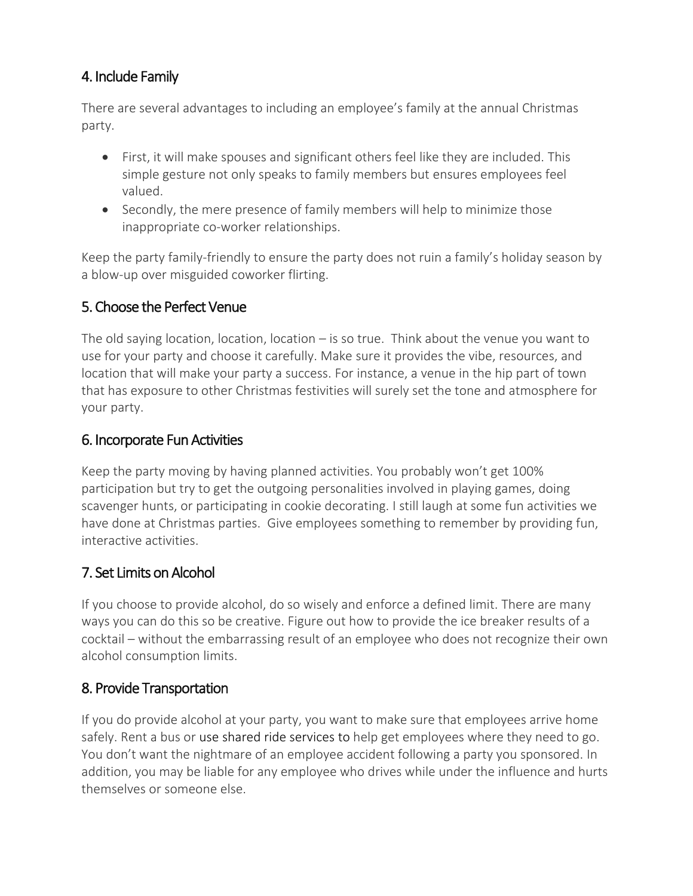# 4. Include Family

There are several advantages to including an employee's family at the annual Christmas party.

- First, it will make spouses and significant others feel like they are included. This simple gesture not only speaks to family members but ensures employees feel valued.
- Secondly, the mere presence of family members will help to minimize those inappropriate co-worker relationships.

Keep the party family-friendly to ensure the party does not ruin a family's holiday season by a blow-up over misguided coworker flirting.

# 5. Choose the Perfect Venue

The old saying location, location, location – is so true. Think about the venue you want to use for your party and choose it carefully. Make sure it provides the vibe, resources, and location that will make your party a success. For instance, a venue in the hip part of town that has exposure to other Christmas festivities will surely set the tone and atmosphere for your party.

### 6. Incorporate Fun Activities

Keep the party moving by having planned activities. You probably won't get 100% participation but try to get the outgoing personalities involved in playing games, doing scavenger hunts, or participating in cookie decorating. I still laugh at some fun activities we have done at Christmas parties. Give employees something to remember by providing fun, interactive activities.

### 7. Set Limits on Alcohol

If you choose to provide alcohol, do so wisely and enforce a defined limit. There are many ways you can do this so be creative. Figure out how to provide the ice breaker results of a cocktail – without the embarrassing result of an employee who does not recognize their own alcohol consumption limits.

### 8. Provide Transportation

If you do provide alcohol at your party, you want to make sure that employees arrive home safely. Rent a bus or [use shared ride services](https://www.lyft.com/rider) to help get employees where they need to go. You don't want the nightmare of an employee accident following a party you sponsored. In addition, you may be liable for any employee who drives while under the influence and hurts themselves or someone else.